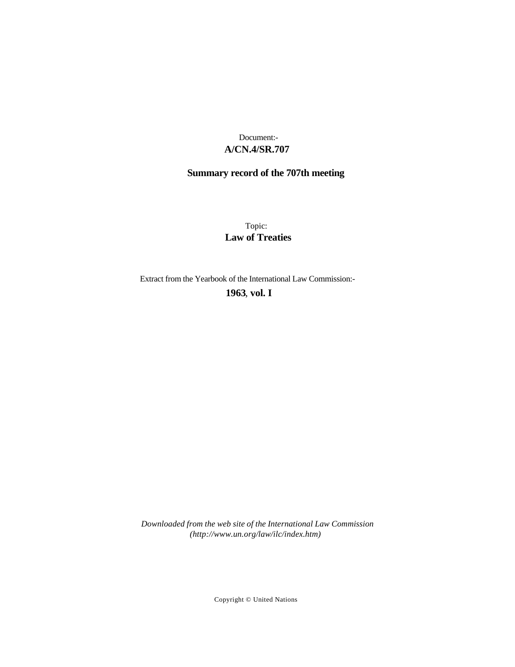# **A/CN.4/SR.707** Document:-

# **Summary record of the 707th meeting**

Topic: **Law of Treaties**

Extract from the Yearbook of the International Law Commission:-

**1963** , **vol. I**

*Downloaded from the web site of the International Law Commission (http://www.un.org/law/ilc/index.htm)*

Copyright © United Nations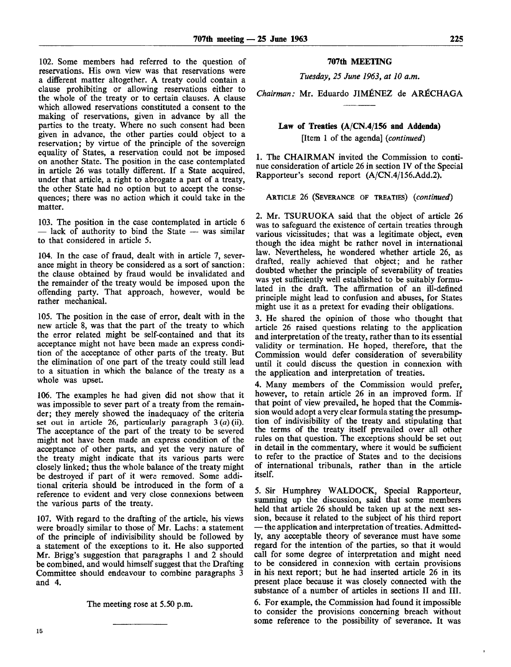102. Some members had referred to the question of reservations. His own view was that reservations were a different matter altogether. A treaty could contain a clause prohibiting or allowing reservations either to the whole of the treaty or to certain clauses. A clause which allowed reservations constituted a consent to the making of reservations, given in advance by all the parties to the treaty. Where no such consent had been given in advance, the other parties could object to a reservation; by virtue of the principle of the sovereign equality of States, a reservation could not be imposed on another State. The position in the case contemplated in article 26 was totally different. If a State acquired, under that article, a right to abrogate a part of a treaty, the other State had no option but to accept the consequences; there was no action which it could take in the matter.

103. The position in the case contemplated in article 6 — lack of authority to bind the State — was similar to that considered in article 5.

104. In the case of fraud, dealt with in article 7, severance might in theory be considered as a sort of sanction: the clause obtained by fraud would be invalidated and the remainder of the treaty would be imposed upon the offending party. That approach, however, would be rather mechanical.

105. The position in the case of error, dealt with in the new article 8, was that the part of the treaty to which the error related might be self-contained and that its acceptance might not have been made an express condition of the acceptance of other parts of the treaty. But the elimination of one part of the treaty could still lead to a situation in which the balance of the treaty as a whole was upset.

106. The examples he had given did not show that it was impossible to sever part of a treaty from the remainder; they merely showed the inadequacy of the criteria set out in article 26, particularly paragraph 3 *(a)* (ii). The acceptance of the part of the treaty to be severed might not have been made an express condition of the acceptance of other parts, and yet the very nature of the treaty might indicate that its various parts were closely linked; thus the whole balance of the treaty might be destroyed if part of it were removed. Some additional criteria should be introduced in the form of a reference to evident and very close connexions between the various parts of the treaty.

107. With regard to the drafting of the article, his views were broadly similar to those of Mr. Lachs: a statement of the principle of indivisibility should be followed by a statement of the exceptions to it. He also supported Mr. Brigg's suggestion that paragraphs 1 and 2 should be combined, and would himself suggest that the Drafting Committee should endeavour to combine paragraphs 3 and 4.

The meeting rose at 5.50 p.m.

#### **707th MEETING**

*Tuesday, 25 June 1963, at 10 a.m.*

*Chairman:* Mr. Eduardo JIMENEZ de AR^CHAGA

## **Law of Treaties (A/CN.4/156 and Addenda)** [Item 1 of the agenda] *{continued)*

1. The CHAIRMAN invited the Commission to continue consideration of article 26 in section IV of the Special Rapporteur's second report (A/CN.4/156.Add.2).

ARTICLE 26 (SEVERANCE OF TREATIES) *{continued)*

2. Mr. TSURUOKA said that the object of article 26 was to safeguard the existence of certain treaties through various vicissitudes; that was a legitimate object, even though the idea might be rather novel in international law. Nevertheless, he wondered whether article 26, as drafted, really achieved that object; and he rather doubted whether the principle of severability of treaties was yet sufficiently well established to be suitably formulated in the draft. The affirmation of an ill-defined principle might lead to confusion and abuses, for States might use it as a pretext for evading their obligations.

3. He shared the opinion of those who thought that article 26 raised questions relating to the application and interpretation of the treaty, rather than to its essential validity or termination. He hoped, therefore, that the Commission would defer consideration of severability until it could discuss the question in connexion with the application and interpretation of treaties.

4. Many members of the Commission would prefer, however, to retain article 26 in an improved form. If that point of view prevailed, he hoped that the Commission would adopt a very clear formula stating the presumption of indivisibility of the treaty and stipulating that the terms of the treaty itself prevailed over all other rules on that question. The exceptions should be set out in detail in the commentary, where it would be sufficient to refer to the practice of States and to the decisions of international tribunals, rather than in the article itself.

5. Sir Humphrey WALDOCK, Special Rapporteur, summing up the discussion, said that some members held that article 26 should be taken up at the next session, because it related to the subject of his third report — the application and interpretation of treaties. Admittedly, any acceptable theory of severance must have some regard for the intention of the parties, so that it would call for some degree of interpretation and might need to be considered in connexion with certain provisions in his next report; but he had inserted article 26 in its present place because it was closely connected with the substance of a number of articles in sections II and III.

6. For example, the Commission had found it impossible to consider the provisions concerning breach without some reference to the possibility of severance. It was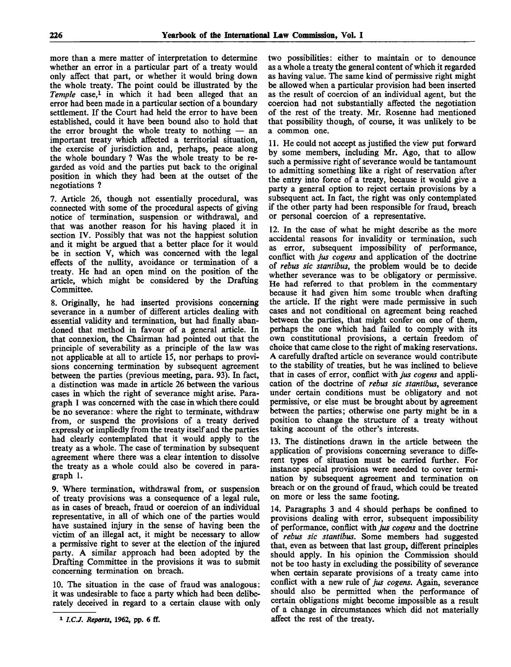more than a mere matter of interpretation to determine whether an error in a particular part of a treaty would only affect that part, or whether it would bring down the whole treaty. The point could be illustrated by the Temple case,<sup>1</sup> in which it had been alleged that an error had been made in a particular section of a boundary settlement. If the Court had held the error to have been established, could it have been bound also to hold that the error brought the whole treaty to nothing — an important treaty which affected a territorial situation, the exercise of jurisdiction and, perhaps, peace along the whole boundary ? Was the whole treaty to be regarded as void and the parties put back to the original position in which they had been at the outset of the negotiations ?

7. Article 26, though not essentially procedural, was connected with some of the procedural aspects of giving notice of termination, suspension or withdrawal, and that was another reason for his having placed it in section IV. Possibly that was not the happiest solution and it might be argued that a better place for it would be in section V, which was concerned with the legal effects of the nullity, avoidance or termination of a treaty. He had an open mind on the position of the article, which might be considered by the Drafting Committee.

8. Originally, he had inserted provisions concerning severance in a number of different articles dealing with essential validity and termination, but had finally abandoned that method in favour of a general article. In that connexion, the Chairman had pointed out that the principle of severability as a principle of the law was not applicable at all to article 15, nor perhaps to provisions concerning termination by subsequent agreement between the parties (previous meeting, para. 93). In fact, a distinction was made in article 26 between the various cases in which the right of severance might arise. Paragraph 1 was concerned with the case in which there could be no severance: where the right to terminate, withdraw from, or suspend the provisions of a treaty derived expressly or impliedly from the treaty itself and the parties had clearly contemplated that it would apply to the treaty as a whole. The case of termination by subsequent agreement where there was a clear intention to dissolve the treaty as a whole could also be covered in paragraph 1.

9. Where termination, withdrawal from, or suspension of treaty provisions was a consequence of a legal rule, as in cases of breach, fraud or coercion of an individual representative, in all of which one of the parties would have sustained injury in the sense of having been the victim of an illegal act, it might be necessary to allow a permissive right to sever at the election of the injured party. A similar approach had been adopted by the Drafting Committee in the provisions it was to submit concerning termination on breach.

10. The situation in the case of fraud was analogous: it was undesirable to face a party which had been deliberately deceived in regard to a certain clause with only

two possibilities: either to maintain or to denounce as a whole a treaty the general content of which it regarded as having value. The same kind of permissive right might be allowed when a particular provision had been inserted as the result of coercion of an individual agent, but the coercion had not substantially affected the negotiation of the rest of the treaty. Mr. Rosenne had mentioned that possibility though, of course, it was unlikely to be a common one.

11. He could not accept as justified the view put forward by some members, including Mr. Ago, that to allow such a permissive right of severance would be tantamount to admitting something like a right of reservation after the entry into force of a treaty, because it would give a party a general option to reject certain provisions by a subsequent act. In fact, the right was only contemplated if the other party had been responsible for fraud, breach or personal coercion of a representative.

12. In the case of what he might describe as the more accidental reasons for invalidity or termination, such as error, subsequent impossibility of performance, conflict with *jus cogens* and application of the doctrine of *rebus sic stantibus,* the problem would be to decide whether severance was to be obligatory or permissive. He had referred to that problem in the commentary because it had given him some trouble when drafting the article. If the right were made permissive in such cases and not conditional on agreement being reached between the parties, that might confer on one of them, perhaps the one which had failed to comply with its own constitutional provisions, a certain freedom of choice that came close to the right of making reservations. A carefully drafted article on severance would contribute to the stability of treaties, but he was inclined to believe that in cases of error, conflict with *jus cogens* and application of the doctrine of *rebus sic stantibus,* severance under certain conditions must be obligatory and not permissive, or else must be brought about by agreement between the parties; otherwise one party might be in a position to change the structure of a treaty without taking account of the other's interests.

13. The distinctions drawn in the article between the application of provisions concerning severance to different types of situation must be carried further. For instance special provisions were needed to cover termination by subsequent agreement and termination on breach or on the ground of fraud, which could be treated on more or less the same footing.

14. Paragraphs 3 and 4 should perhaps be confined to provisions dealing with error, subsequent impossibility of performance, conflict with *jus cogens* and the doctrine of *rebus sic stantibus.* Some members had suggested that, even as between that last group, different principles should apply. In his opinion the Commission should not be too hasty in excluding the possibility of severance when certain separate provisions of a treaty came into conflict with a new rule of *jus cogens.* Again, severance should also be permitted when the performance of certain obligations might become impossible as a result of a change in circumstances which did not materially affect the rest of the treaty.

**<sup>1</sup>**  *I.CJ. Reports,* **1962, pp. 6 ff.**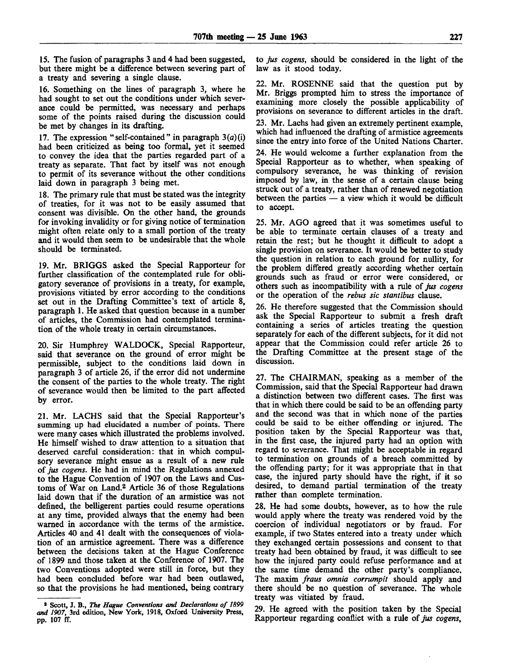15. The fusion of paragraphs 3 and 4 had been suggested, but there might be a difference between severing part of a treaty and severing a single clause.

16. Something on the lines of paragraph 3, where he had sought to set out the conditions under which severance could be permitted, was necessary and perhaps some of the points raised during the discussion could be met by changes in its drafting.

17. The expression "self-contained" in paragraph  $3(a)(i)$ had been criticized as being too formal, yet it seemed to convey the idea that the parties regarded part of a treaty as separate. That fact by itself was not enough to permit of its severance without the other conditions laid down in paragraph 3 being met.

18. The primary rule that must be stated was the integrity of treaties, for it was not to be easily assumed that consent was divisible. On the other hand, the grounds for invoking invalidity or for giving notice of termination might often relate only to a small portion of the treaty and it would then seem to be undesirable that the whole should be terminated.

19. Mr. BRIGGS asked the Special Rapporteur for further classification of the contemplated rule for obligatory severance of provisions in a treaty, for example, provisions vitiated by error according to the conditions set out in the Drafting Committee's text of article 8, paragraph 1. He asked that question because in a number of articles, the Commission had contemplated termination of the whole treaty in certain circumstances.

20. Sir Humphrey WALDOCK, Special Rapporteur, said that severance on the ground of error might be permissible, subject to the conditions laid down in paragraph 3 of article 26, if the error did not undermine the consent of the parties to the whole treaty. The right of severance would then be limited to the part affected by error.

21. Mr. LACHS said that the Special Rapporteur's summing up had elucidated a number of points. There were many cases which illustrated the problems involved. He himself wished to draw attention to a situation that deserved careful consideration: that in which compulsory severance might ensue as a result of a new rule of *jus cogens.* He had in mind the Regulations annexed to the Hague Convention of 1907 on the Laws and Customs of War on Land.<sup>2</sup> Article 36 of those Regulations laid down that if the duration of an armistice was not defined, the belligerent parties could resume operations at any time, provided always that the enemy had been warned in accordance with the terms of the armistice. Articles 40 and 41 dealt with the consequences of violation of an armistice agreement. There was a difference between the decisions taken at the Hague Conference of 1899 and those taken at the Conference of 1907. The two Conventions adopted were still in force, but they had been concluded before war had been outlawed, so that the provisions he had mentioned, being contrary

to *jus cogens,* should be considered in the light of the law as it stood today.

22. Mr. ROSENNE said that the question put by Mr. Briggs prompted him to stress the importance of examining more closely the possible applicability of provisions on severance to different articles in the draft.

23. Mr. Lachs had given an extremely pertinent example, which had influenced the drafting of armistice agreements since the entry into force of the United Nations Charter.

24. He would welcome a further explanation from the Special Rapporteur as to whether, when speaking of compulsory severance, he was thinking of revision imposed by law, in the sense of a certain clause being struck out of a treaty, rather than of renewed negotiation between the parties  $-$  a view which it would be difficult to accept.

25. Mr. AGO agreed that it was sometimes useful to be able to terminate certain clauses of a treaty and retain the rest; but he thought it difficult to adopt a single provision on severance. It would be better to study the question in relation to each ground for nullity, for the problem differed greatly according whether certain grounds such as fraud or error were considered, or others such as incompatibility with a rule of *jus cogens* or the operation of the *rebus sic stantibus* clause.

26. He therefore suggested that the Commission should ask the Special Rapporteur to submit a fresh draft containing a series of articles treating the question separately for each of the different subjects, for it did not appear that the Commission could refer article 26 to the Drafting Committee at the present stage of the discussion.

27. The CHAIRMAN, speaking as a member of the Commission, said that the Special Rapporteur had drawn a distinction between two different cases. The first was that in which there could be said to be an offending party and the second was that in which none of the parties could be said to be either offending or injured. The position taken by the Special Rapporteur was that, in the first case, the injured party had an option with regard to severance. That might be acceptable in regard to termination on grounds of a breach committed by the offending party; for it was appropriate that in that case, the injured party should have the right, if it so desired, to demand partial termination of the treaty rather than complete termination.

28. He had some doubts, however, as to how the rule would apply where the treaty was rendered void by the coercion of individual negotiators or by fraud. For example, if two States entered into a treaty under which they exchanged certain possessions and consent to that treaty had been obtained by fraud, it was difficult to see how the injured party could refuse performance and at the same time demand the other party's compliance. The maxim *fraus omnia corrumpit* should apply and there should be no question of severance. The whole treaty was vitiated by fraud.

29. He agreed with the position taken by the Special Rapporteur regarding conflict with a rule of *jus cogens,*

<sup>2</sup> Scott, J. B., *The Hague Conventions and Declarations of 1899 and 1907,* 3rd edition, New York, 1918, Oxford University Press, pp. 107 ff.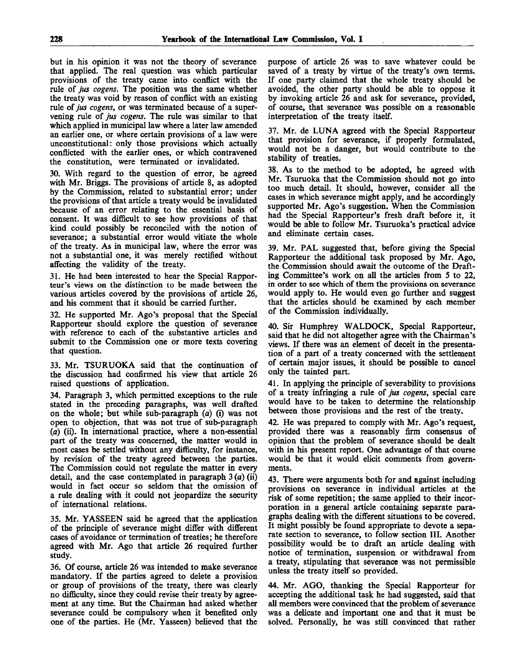but in his opinion it was not the theory of severance that applied. The real question was which particular provisions of the treaty came into conflict with the rule of *jus cogens.* The position was the same whether the treaty was void by reason of conflict with an existing rule of *jus cogens,* or was terminated because of a supervening rule of *jus cogens.* The rule was similar to that which applied in municipal law where a later law amended an earlier one, or where certain provisions of a law were unconstitutional: only those provisions which actually conflicted with the earlier ones, or which contravened the constitution, were terminated or invalidated.

30. With regard to the question of error, he agreed with Mr. Briggs. The provisions of article 8, as adopted by the Commission, related to substantial error; under the provisions of that article a treaty would be invalidated because of an error relating to the essential basis of consent. It was difficult to see how provisions of that kind could possibly be reconciled with the notion of severance; a substantial error would vitiate the whole of the treaty. As in municipal law, where the error was hot a substantial one, it was merely rectified without affecting the validity of the treaty.

31. He had been interested to hear the Special Rapporteur's views on the distinction to be made between the various articles covered by the provisions of article 26, and his comment that it should be carried further.

32. He supported Mr. Ago's proposal that the Special Rapporteur should explore the question of severance with reference to each of the substantive articles and submit to the Commission one or more texts covering that question.

33. Mr. TSURUOKA said that the continuation of the discussion had confirmed his view that article 26 raised questions of application.

34. Paragraph 3, which permitted exceptions to the rule stated in the preceding paragraphs, was well drafted on the whole; but while sub-paragraph *(a)* (i) was not open to objection, that was not true of sub-paragraph (a) (ii). In international practice, where a non-essential part of the treaty was concerned, the matter would in most cases be settled without any difficulty, for instance, by revision of the treaty agreed between the parties. The Commission could not regulate the matter in every detail, and the case contemplated in paragraph  $3(a)$  (ii) would in fact occur so seldom that the omission of a rule dealing with it could not jeopardize the security of international relations.

35. Mr. YASSEEN said he agreed that the application of the principle of severance might differ with different cases of avoidance or termination of treaties; he therefore agreed with Mr. Ago that article 26 required further study.

36. Of course, article 26 was intended to make severance mandatory. If the parties agreed to delete a provision or group of provisions of the treaty, there was clearly no difficulty, since they could revise their treaty by agreement at any time. But the Chairman had asked whether severance could be compulsory when it benefited only one of the parties. He (Mr. Yasseen) believed that the

purpose of article 26 was to save whatever could be saved of a treaty by virtue of the treaty's own terms. If one party claimed that the whole treaty should be avoided, the other party should be able to oppose it by invoking article 26 and ask for severance, provided, of course, that severance was possible on a reasonable interpretation of the treaty itself.

37. Mr. de LUNA agreed with the Special Rapporteur that provision for severance, if properly formulated, would not be a danger, but would contribute to the stability of treaties.

38. As to the method to be adopted, he agreed with Mr. Tsuruoka that the Commission should not go into too much detail. It should, however, consider all the cases in which severance might apply, and he accordingly supported Mr. Ago's suggestion. When the Commission had the Special Rapporteur's fresh draft before it, it would be able to follow Mr. Tsuruoka's practical advice and eliminate certain cases.

39. Mr. PAL suggested that, before giving the Special Rapporteur the additional task proposed by Mr. Ago, the Commission should await the outcome of the Drafting Committee's work on all the articles from 5 to 22, in order to see which of them the provisions on severance would apply to. He would even go further and suggest that the articles should be examined by each member of the Commission individually.

40. Sir Humphrey WALDOCK, Special Rapporteur, said that he did not altogether agree with the Chairman's views. If there was an element of deceit in the presentation of a part of a treaty concerned with the settlement of certain major issues, it should be possible to cancel only the tainted part.

41. In applying the principle of severability to provisions of a treaty infringing a rule *of jus cogens,* special care would have to be taken to determine the relationship between those provisions and the rest of the treaty.

42. He was prepared to comply with Mr. Ago's request, provided there was a reasonably firm consensus of opinion that the problem of severance should be dealt with in his present report. One advantage of that course would be that it would elicit comments from governments.

43. There were arguments both for and against including provisions on severance in individual articles at the risk of some repetition; the same applied to their incorporation in a general article containing separate paragraphs dealing with the different situations to be covered. It might possibly be found appropriate to devote a separate section to severance, to follow section III. Another possibility would be to draft an article dealing with notice of termination, suspension or withdrawal from a treaty, stipulating that severance was not permissible unless the treaty itself so provided.

44. Mr. AGO, thanking the Special Rapporteur for accepting the additional task he had suggested, said that all members were convinced that the problem of severance was a delicate and important one and that it must be solved. Personally, he was still convinced that rather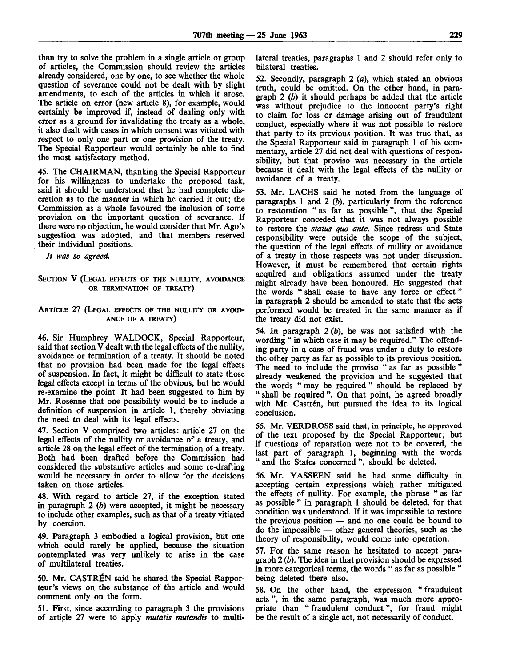than try to solve the problem in a single article or group of articles, the Commission should review the articles already considered, one by one, to see whether the whole question of severance could not be dealt with by slight amendments, to each of the articles in which it arose. The article on error (new article 8), for example, would certainly be improved if, instead of dealing only with error as a ground for invalidating the treaty as a whole, it also dealt with cases in which consent was vitiated with respect to only one part or one provision of the treaty. The Special Rapporteur would certainly be able to find the most satisfactory method.

45. The CHAIRMAN, thanking the Special Rapporteur for his willingness to undertake the proposed task, said it should be understood that he had complete discretion as to the manner in which he carried it out; the Commission as a whole favoured the inclusion of some provision on the important question of severance. If there were no objection, he would consider that Mr. Ago's suggestion was adopted, and that members reserved their individual positions.

*It was so agreed.*

### SECTION V (LEGAL EFFECTS OF THE NULLITY, AVOIDANCE OR TERMINATION OF TREATY)

### ARTICLE 27 (LEGAL EFFECTS OF THE NULLITY OR AVOID-ANCE OF A TREATY)

46. Sir Humphrey WALDOCK, Special Rapporteur, said that section V dealt with the legal effects of the nullity, avoidance or termination of a treaty. It should be noted that no provision had been made for the legal effects of suspension. In fact, it might be difficult to state those legal effects except in terms of the obvious, but he would re-examine the point. It had been suggested to him by Mr. Rosenne that one possibility would be to include a definition of suspension in article 1, thereby obviating the need to deal with its legal effects.

47. Section V comprised two articles: article 27 on the legal effects of the nullity or avoidance of a treaty, and article 28 on the legal effect of the termination of a treaty. Both had been drafted before the Commission had considered the substantive articles and some re-drafting would be necessary in order to allow for the decisions taken on those articles.

48. With regard to article 27, if the exception stated in paragraph 2 *(b)* were accepted, it might be necessary to include other examples, such as that of a treaty vitiated by coercion.

49. Paragraph 3 embodied a logical provision, but one which could rarely be applied, because the situation contemplated was very unlikely to arise in the case of multilateral treaties.

50. Mr. CASTRÉN said he shared the Special Rapporteur's views on the substance of the article and would comment only on the form.

51. First, since according to paragraph 3 the provisions of article 27 were to apply *mutatis mutandis* to multilateral treaties, paragraphs 1 and 2 should refer only to bilateral treaties.

52. Secondly, paragraph 2 *(a),* which stated an obvious truth, could be omitted. On the other hand, in paragraph 2 *(b)* it should perhaps be added that the article was without prejudice to the innocent party's right to claim for loss or damage arising out of fraudulent conduct, especially where it was not possible to restore that party to its previous position. It was true that, as the Special Rapporteur said in paragraph 1 of his commentary, article 27 did not deal with questions of responsibility, but that proviso was necessary in the article because it dealt with the legal effects of the nullity or avoidance of a treaty.

53. Mr. LACHS said he noted from the language of paragraphs 1 and 2 *(b),* particularly from the reference to restoration " as far as possible ", that the Special Rapporteur conceded that it was not always possible to restore the *status quo ante.* Since redress and State responsibility were outside the scope of the subject, the question of the legal effects of nullity or avoidance of a treaty in those respects was not under discussion. However, it must be remembered that certain rights acquired and obligations assumed under the treaty might already have been honoured. He suggested that the words " shall cease to have any force or effect" in paragraph 2 should be amended to state that the acts performed would be treated in the same manner as if the treaty did not exist.

54. In paragraph 2 *(b),* he was not satisfied with the wording " in which case it may be required." The offending party in a case of fraud was under a duty to restore the other party as far as possible to its previous position. The need to include the proviso " as far as possible " already weakened the provision and he suggested that the words " may be required " should be replaced by " shall be required ". On that point, he agreed broadly with Mr. Castrén, but pursued the idea to its logical conclusion.

55. Mr. VERDROSS said that, in principle, he approved of the text proposed by the Special Rapporteur; but if questions of reparation were not to be covered, the last part of paragraph 1, beginning with the words " and the States concerned ", should be deleted.

56. Mr. YASSEEN said he had some difficulty in accepting certain expressions which rather mitigated the effects of nullity. For example, the phrase " as far as possible " in paragraph 1 should be deleted, for that condition was understood. If it was impossible to restore the previous position — and no one could be bound to do the impossible — other general theories, such as the theory of responsibility, would come into operation.

57. For the same reason he hesitated to accept paragraph 2 *(b).* The idea in that provision should be expressed in more categorical terms, the words " as far as possible " being deleted there also.

58. On the other hand, the expression " fraudulent acts ", in the same paragraph, was much more appropriate than " fraudulent conduct", for fraud might be the result of a single act, not necessarily of conduct.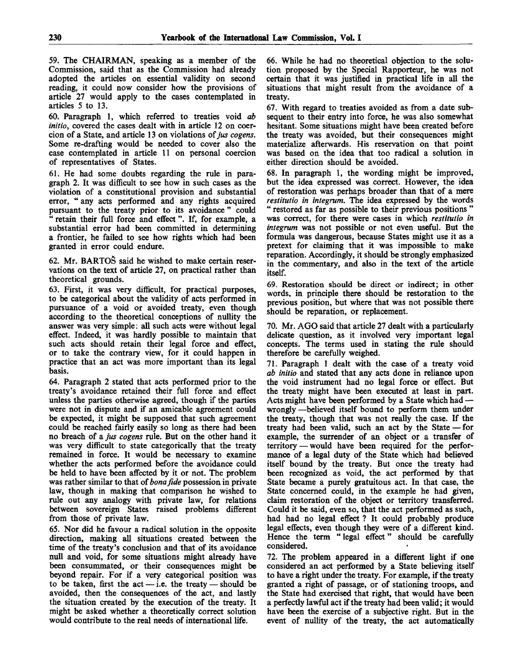59. The CHAIRMAN, speaking as a member of the Commission, said that as the Commission had already adopted the articles on essential validity on second reading, it could now consider how the provisions of article 27 would apply to the cases contemplated in articles 5 to 13.

60. Paragraph 1, which referred to treaties void *ab initio,* covered the cases dealt with in article 12 on coercion of a State, and article 13 on violations *of jus cogens.* Some re-drafting would be needed to cover also the case contemplated in article 11 on personal coercion of representatives of States.

61. He had some doubts regarding the rule in paragraph 2. It was difficult to see how in such cases as the violation of a constitutional provision and substantial error, " any acts performed and any rights acquired pursuant to the treaty prior to its avoidance " could retain their full force and effect". If, for example, a substantial error had been committed in determining a frontier, he failed to see how rights which had been granted in error could endure.

62. Mr. BARTO& said he wished to make certain reservations on the text of article 27, on practical rather than theoretical grounds.

63. First, it was very difficult, for practical purposes, to be categorical about the validity of acts performed in pursuance of a void or avoided treaty, even though according to the theoretical conceptions of nullity the answer was very simple: all such acts were without legal effect. Indeed, it was hardly possible to maintain that such acts should retain their legal force and effect, or to take the contrary view, for it could happen in practice that an act was more important than its legal basis.

64. Paragraph 2 stated that acts performed prior to the treaty's avoidance retained their full force and effect unless the parties otherwise agreed, though if the parties were not in dispute and if an amicable agreement could be expected, it might be supposed that such agreement could be reached fairly easily so long as there had been no breach of a *jus cogens* rule. But on the other hand it was very difficult to state categorically that the treaty remained in force. It would be necessary to examine whether the acts performed before the avoidance could be held to have been affected by it or not. The problem was rather similar to that of*bona fide* possession in private law, though in making that comparison he wished to rule out any analogy with private law, for relations between sovereign States raised problems different from those of private law.

65. Nor did he favour a radical solution in the opposite direction, making all situations created between the time of the treaty's conclusion and that of its avoidance null and void, for some situations might already have been consummated, or their consequences might be beyond repair. For if a very categorical position was to be taken, first the act  $-$  i.e. the treaty  $-$  should be avoided, then the consequences of the act, and lastly the situation created by the execution of the treaty. It might be asked whether a theoretically correct solution would contribute to the real needs of international life.

66. While he had no theoretical objection to the solution proposed by the Special Rapporteur, he was not certain that it was justified in practical life in all the situations that might result from the avoidance of a treaty.

67. With regard to treaties avoided as from a date subsequent to their entry into force, he was also somewhat hesitant. Some situations might have been created before the treaty was avoided, but their consequences might materialize afterwards. His reservation on that point was based on the idea that too radical a solution in either direction should be avoided.

68. In paragraph 1, the wording might be improved, but the idea expressed was correct. However, the idea of restoration was perhaps broader than that of a mere *restitutio in integrum.* The idea expressed by the words " restored as far as possible to their previous positions "

was correct, for there were cases in which *restitutio in integrum* was not possible or not even useful. But the formula was dangerous, because States might use it as a pretext for claiming that it was impossible to make reparation. Accordingly, it should be strongly emphasized in the commentary, and also in the text of the article itself.

69. Restoration should be direct or indirect; in other words, in principle there should be restoration to the previous position, but where that was not possible there should be reparation, or replacement.

70. Mr. AGO said that article 27 dealt with a particularly delicate question, as it involved very important legal concepts. The terms used in stating the rule should therefore be carefully weighed.

71. Paragraph 1 dealt with the case of a treaty void *ab initio* and stated that any acts done in reliance upon the void instrument had no legal force or effect. But the treaty might have been executed at least in part. Acts might have been performed by a State which had wrongly —believed itself bound to perform them under the treaty, though that was not really the case. If the treaty had been valid, such an act by the State — for example, the surrender of an object or a transfer of territory — would have been required for the performance of a legal duty of the State which had believed itself bound by the treaty. But once the treaty had been recognized as void, the act performed by that State became a purely gratuitous act. In that case, the State concerned could, in the example he had given, claim restoration of the object or territory transferred. Could it be said, even so, that the act performed as such, had had no legal effect ? It could probably produce legal effects, even though they were of a different kind. Hence the term " legal effect" should be carefully considered.

72. The problem appeared in a different light if one considered an act performed by a State believing itself to have a right under the treaty. For example, if the treaty granted a right of passage, or of stationing troops, and the State had exercised that right, that would have been a perfectly lawful act if the treaty had been valid; it would have been the exercise of a subjective right. But in the event of nullity of the treaty, the act automatically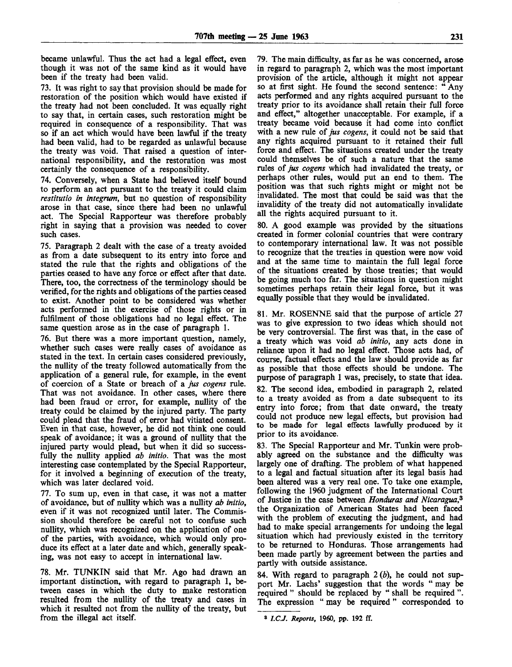became unlawful. Thus the act had a legal effect, even though it was not of the same kind as it would have been if the treaty had been valid.

73. It was right to say that provision should be made for restoration of the position which would have existed if the treaty had not been concluded. It was equally right to say that, in certain cases, such restoration might be required in consequence of a responsibility. That was so if an act which would have been lawful if the treaty had been valid, had to be regarded as unlawful because the treaty was void. That raised a question of international responsibility, and the restoration was most certainly the consequence of a responsibility.

74. Conversely, when a State had believed itself bound to perform an act pursuant to the treaty it could claim *restitutio in integrum,* but no question of responsibility arose in that case, since there had been no unlawful act. The Special Rapporteur was therefore probably right in saying that a provision was needed to cover such cases.

75. Paragraph 2 dealt with the case of a treaty avoided as from a date subsequent to its entry into force and stated the rule that the rights and obligations of the parties ceased to have any force or effect after that date. There, too, the correctness of the terminology should be verified, for the rights and obligations of the parties ceased to exist. Another point to be considered was whether acts performed in the exercise of those rights or in fulfilment of those obligations had no legal effect. The same question arose as in the case of paragraph 1.

76. But there was a more important question, namely, whether such cases were really cases of avoidance as stated in the text. In certain cases considered previously, the nullity of the treaty followed automatically from the application of a general rule, for example, in the event of coercion of a State or breach of a *jus cogens* rule. That was not avoidance. In other cases, where there had been fraud or error, for example, nullity of the treaty could be claimed by the injured party. The party could plead that the fraud of error had vitiated consent. Even in that case, however, he did not think one could speak of avoidance; it was a ground of nullity that the injured party would plead, but when it did so successfully the nullity applied *ab initio.* That was the most interesting case contemplated by the Special Rapporteur, for it involved a beginning of execution of the treaty, which was later declared void.

77. To sum up, even in that case, it was not a matter of avoidance, but of nullity which was a nullity *ab initio,* even if it was not recognized until later. The Commission should therefore be careful not to confuse such nullity, which was recognized on the application of one of the parties, with avoidance, which would only produce its effect at a later date and which, generally speaking, was not easy to accept in international law.

78. Mr. TUNKIN said that Mr. Ago had drawn an important distinction, with regard to paragraph 1, between cases in which the duty to make restoration resulted from the nullity of the treaty and cases in which it resulted not from the nullity of the treaty, but from the illegal act itself.

79. The main difficulty, as far as he was concerned, arose in regard to paragraph 2, which was the most important provision of the article, although it might not appear so at first sight. He found the second sentence: "Any acts performed and any rights acquired pursuant to the treaty prior to its avoidance shall retain their full force and effect," altogether unacceptable. For example, if a treaty became void because it had come into conflict with a new rule of *jus cogens,* it could not be said that any rights acquired pursuant to it retained their full force and effect. The situations created under the treaty could themselves be of such a nature that the same rules of *jus cogens* which had invalidated the treaty, or perhaps other rules, would put an end to them. The position was that such rights might or might not be invalidated. The most that could be said was that the invalidity of the treaty did not automatically invalidate all the rights acquired pursuant to it.

80. A good example was provided by the situations created in former colonial countries that were contrary to contemporary international law. It was not possible to recognize that the treaties in question were now void and at the same time to maintain the full legal force of the situations created by those treaties; that would be going much too far. The situations in question might sometimes perhaps retain their legal force, but it was equally possible that they would be invalidated.

81. Mr. ROSENNE said that the purpose of article 27 was to give expression to two ideas which should not be very controversial. The first was that, in the case of a treaty which was void *ab initio,* any acts done in reliance upon it had no legal effect. Those acts had, of course, factual effects and the law should provide as far as possible that those effects should be undone. The purpose of paragraph 1 was, precisely, to state that idea.

82. The second idea, embodied in paragraph 2, related to a treaty avoided as from a date subsequent to its entry into force; from that date onward, the treaty could not produce new legal effects, but provision had to be made for legal effects lawfully produced by it prior to its avoidance.

83. The Special Rapporteur and Mr. Tunkin were probably agreed on the substance and the difficulty was largely one of drafting. The problem of what happened to a legal and factual situation after its legal basis had been altered was a very real one. To take one example, following the 1960 judgment of the International Court of Justice in the case between *Honduras and Nicaragua?* the Organization of American States had been faced with the problem of executing the judgment, and had had to make special arrangements for undoing the legal situation which had previously existed in the territory to be returned to Honduras. Those arrangements had been made partly by agreement between the parties and partly with outside assistance.

84. With regard to paragraph 2 *(b),* he could not support Mr. Lachs' suggestion that the words " may be required " should be replaced by " shall be required ". The expression " may be required" corresponded to

**<sup>8</sup>**  *LCJ. Reports,* **1960, pp. 192 ff.**